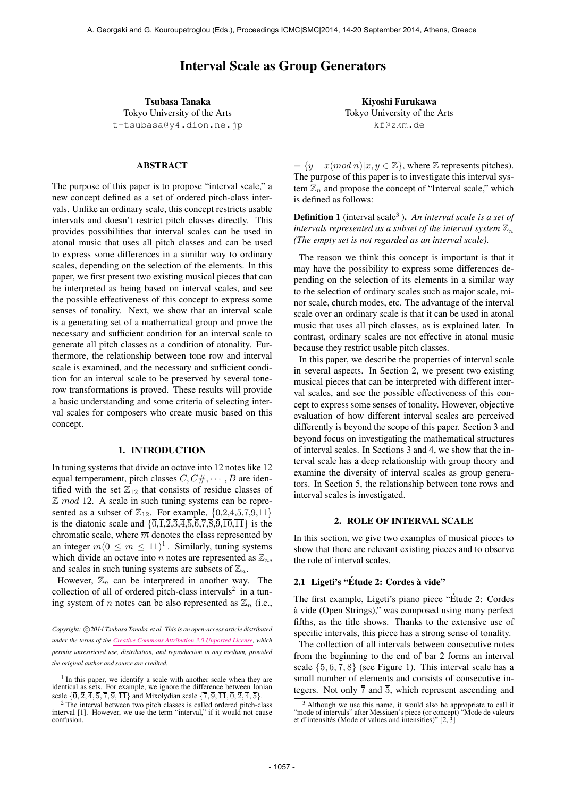# Interval Scale as Group Generators

Tsubasa Tanaka Tokyo University of the Arts t-tsubasa@y4.dion.ne.jp

## ABSTRACT

The purpose of this paper is to propose "interval scale," a new concept defined as a set of ordered pitch-class intervals. Unlike an ordinary scale, this concept restricts usable intervals and doesn't restrict pitch classes directly. This provides possibilities that interval scales can be used in atonal music that uses all pitch classes and can be used to express some differences in a similar way to ordinary scales, depending on the selection of the elements. In this paper, we first present two existing musical pieces that can be interpreted as being based on interval scales, and see the possible effectiveness of this concept to express some senses of tonality. Next, we show that an interval scale is a generating set of a mathematical group and prove the necessary and sufficient condition for an interval scale to generate all pitch classes as a condition of atonality. Furthermore, the relationship between tone row and interval scale is examined, and the necessary and sufficient condition for an interval scale to be preserved by several tonerow transformations is proved. These results will provide a basic understanding and some criteria of selecting interval scales for composers who create music based on this concept.

## 1. INTRODUCTION

In tuning systems that divide an octave into 12 notes like 12 equal temperament, pitch classes  $C, C \#$ ,  $\cdots$ ,  $B$  are identified with the set  $\mathbb{Z}_{12}$  that consists of residue classes of Z *mod* 12. A scale in such tuning systems can be represented as a subset of  $\mathbb{Z}_{12}$ . For example,  $\{\overline{0},\overline{2},\overline{4},\overline{5},\overline{7},\overline{9},\overline{11}\}$ is the diatonic scale and  $\{\overline{0,1},\overline{2,3},\overline{4,5},\overline{6,7},\overline{8,9},\overline{10,11}\}$  is the chromatic scale, where  $\overline{m}$  denotes the class represented by an integer  $m(0 \le m \le 11)^1$ . Similarly, tuning systems which divide an octave into *n* notes are represented as  $\mathbb{Z}_n$ , and scales in such tuning systems are subsets of  $\mathbb{Z}_n$ .

However,  $\mathbb{Z}_n$  can be interpreted in another way. The collection of all of ordered pitch-class intervals<sup>2</sup> in a tuning system of *n* notes can be also represented as  $\mathbb{Z}_n$  (i.e.,

Kiyoshi Furukawa Tokyo University of the Arts kf@zkm.de

 $=\{y - x \pmod{n} | x, y \in \mathbb{Z}\},\$  where  $\mathbb Z$  represents pitches). The purpose of this paper is to investigate this interval system  $\mathbb{Z}_n$  and propose the concept of "Interval scale," which is defined as follows:

**Definition 1** (interval scale<sup>3</sup>). An interval scale is a set of *intervals represented as a subset of the interval system* Z*<sup>n</sup> (The empty set is not regarded as an interval scale).*

The reason we think this concept is important is that it may have the possibility to express some differences depending on the selection of its elements in a similar way to the selection of ordinary scales such as major scale, minor scale, church modes, etc. The advantage of the interval scale over an ordinary scale is that it can be used in atonal music that uses all pitch classes, as is explained later. In contrast, ordinary scales are not effective in atonal music because they restrict usable pitch classes.

In this paper, we describe the properties of interval scale in several aspects. In Section 2, we present two existing musical pieces that can be interpreted with different interval scales, and see the possible effectiveness of this concept to express some senses of tonality. However, objective evaluation of how different interval scales are perceived differently is beyond the scope of this paper. Section 3 and beyond focus on investigating the mathematical structures of interval scales. In Sections 3 and 4, we show that the interval scale has a deep relationship with group theory and examine the diversity of interval scales as group generators. In Section 5, the relationship between tone rows and interval scales is investigated.

#### 2. ROLE OF INTERVAL SCALE

In this section, we give two examples of musical pieces to show that there are relevant existing pieces and to observe the role of interval scales.

# 2.1 Ligeti's "Étude 2: Cordes à vide"

The first example, Ligeti's piano piece "Étude 2: Cordes a vide (Open Strings)," was composed using many perfect ` fifths, as the title shows. Thanks to the extensive use of specific intervals, this piece has a strong sense of tonality.

The collection of all intervals between consecutive notes from the beginning to the end of bar 2 forms an interval scale  ${\overline{5}, \overline{6}, \overline{7}, \overline{8}}$  (see Figure 1). This interval scale has a small number of elements and consists of consecutive integers. Not only  $\overline{7}$  and  $\overline{5}$ , which represent ascending and

*Copyright: ⃝*c *2014 Tsubasa Tanaka et al. This is an open-access article distributed under the terms of the Creative Commons Attribution 3.0 Unported License, which permits unrestricted use, distribution, and reproduction in any medium, provided the original author and source are credited.*

<sup>&</sup>lt;sup>1</sup> In this paper, we identify a scale with another scale when they are identical as sets. For example, we ignore the difference between Ionian scale  $\{\overline{0}, \overline{2}, \overline{4}, \overline{5}, \overline{7}, \overline{9}, \overline{11}\}$  and Mixolydian scale  $\{\overline{7}, \overline{9}, \overline{11}, \overline{0}, \overline{2}, \overline{4}, \overline{5}\}$ .

<sup>2</sup> The interval between two pitch classes is called ordered pitch-class interval [1]. However, we use the term "interval," if it would not cause confusion.

<sup>3</sup> Although we use this name, it would also be appropriate to call it "mode of intervals" after Messiaen's piece (or concept) "Mode de valeurs et d'intensités (Mode of values and intensities)"  $[2, 3]$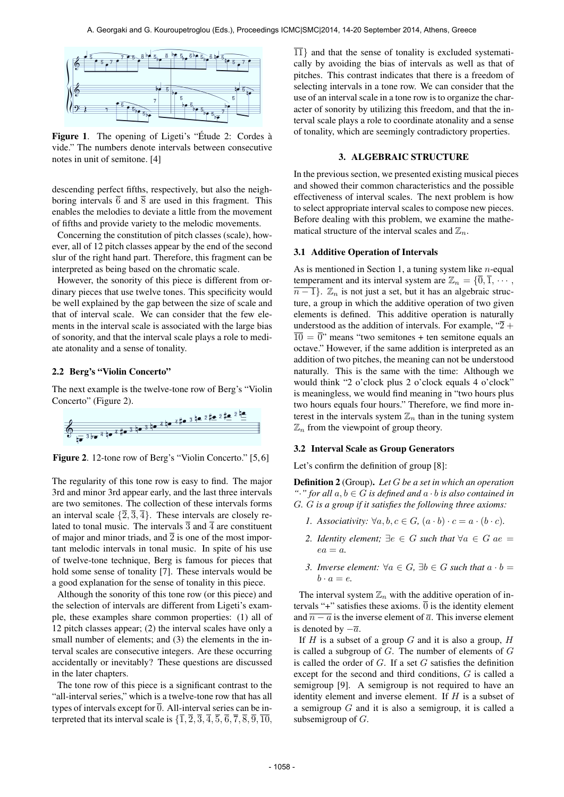

Figure 1. The opening of Ligeti's "Étude 2: Cordes à vide." The numbers denote intervals between consecutive notes in unit of semitone. [4]

descending perfect fifths, respectively, but also the neighboring intervals  $\overline{6}$  and  $\overline{8}$  are used in this fragment. This enables the melodies to deviate a little from the movement of fifths and provide variety to the melodic movements.

Concerning the constitution of pitch classes (scale), however, all of 12 pitch classes appear by the end of the second slur of the right hand part. Therefore, this fragment can be interpreted as being based on the chromatic scale.

However, the sonority of this piece is different from ordinary pieces that use twelve tones. This specificity would be well explained by the gap between the size of scale and that of interval scale. We can consider that the few elements in the interval scale is associated with the large bias of sonority, and that the interval scale plays a role to mediate atonality and a sense of tonality.

# 2.2 Berg's "Violin Concerto"

The next example is the twelve-tone row of Berg's "Violin Concerto" (Figure 2).



Figure 2. 12-tone row of Berg's "Violin Concerto." [5, 6]

The regularity of this tone row is easy to find. The major 3rd and minor 3rd appear early, and the last three intervals are two semitones. The collection of these intervals forms an interval scale  $\{\overline{2}, \overline{3}, \overline{4}\}$ . These intervals are closely related to tonal music. The intervals  $\overline{3}$  and  $\overline{4}$  are constituent of major and minor triads, and  $\overline{2}$  is one of the most important melodic intervals in tonal music. In spite of his use of twelve-tone technique, Berg is famous for pieces that hold some sense of tonality [7]. These intervals would be a good explanation for the sense of tonality in this piece.

Although the sonority of this tone row (or this piece) and the selection of intervals are different from Ligeti's example, these examples share common properties: (1) all of 12 pitch classes appear; (2) the interval scales have only a small number of elements; and (3) the elements in the interval scales are consecutive integers. Are these occurring accidentally or inevitably? These questions are discussed in the later chapters.

The tone row of this piece is a significant contrast to the "all-interval series," which is a twelve-tone row that has all types of intervals except for  $\overline{0}$ . All-interval series can be interpreted that its interval scale is  $\{\overline{1}, \overline{2}, \overline{3}, \overline{4}, \overline{5}, \overline{6}, \overline{7}, \overline{8}, \overline{9}, \overline{10},\$   $\overline{11}$ *}* and that the sense of tonality is excluded systematically by avoiding the bias of intervals as well as that of pitches. This contrast indicates that there is a freedom of selecting intervals in a tone row. We can consider that the use of an interval scale in a tone row is to organize the character of sonority by utilizing this freedom, and that the interval scale plays a role to coordinate atonality and a sense of tonality, which are seemingly contradictory properties.

## 3. ALGEBRAIC STRUCTURE

In the previous section, we presented existing musical pieces and showed their common characteristics and the possible effectiveness of interval scales. The next problem is how to select appropriate interval scales to compose new pieces. Before dealing with this problem, we examine the mathematical structure of the interval scales and  $\mathbb{Z}_n$ .

## 3.1 Additive Operation of Intervals

As is mentioned in Section 1, a tuning system like *n*-equal temperament and its interval system are  $\mathbb{Z}_n = \{\overline{0}, \overline{1}, \cdots, \}$  $\overline{n-1}$ .  $\mathbb{Z}_n$  is not just a set, but it has an algebraic structure, a group in which the additive operation of two given elements is defined. This additive operation is naturally understood as the addition of intervals. For example, " $\overline{2}$  +  $\overline{10} = \overline{0}$ " means "two semitones + ten semitone equals an octave." However, if the same addition is interpreted as an addition of two pitches, the meaning can not be understood naturally. This is the same with the time: Although we would think "2 o'clock plus 2 o'clock equals 4 o'clock" is meaningless, we would find meaning in "two hours plus two hours equals four hours." Therefore, we find more interest in the intervals system  $\mathbb{Z}_n$  than in the tuning system  $\mathbb{Z}_n$  from the viewpoint of group theory.

## 3.2 Interval Scale as Group Generators

Let's confirm the definition of group [8]:

Definition 2 (Group). *Let G be a set in which an operation <sup>"</sup>•" for all*  $a, b \in G$  *is defined and*  $a \cdot b$  *is also contained in G. G is a group if it satisfies the following three axioms:*

- *1. Associativity:*  $\forall a, b, c \in G, (a \cdot b) \cdot c = a \cdot (b \cdot c)$ .
- 2. *Identity element;*  $∃e ∈ G$  *such that*  $∀a ∈ G$  *ae* =  $ea = a$ .
- *3. Inverse element:*  $\forall a \in G$ ,  $\exists b \in G$  *such that*  $a \cdot b =$  $b \cdot a = e$ .

The interval system  $\mathbb{Z}_n$  with the additive operation of intervals "+" satisfies these axioms.  $\overline{0}$  is the identity element and  $\overline{n-a}$  is the inverse element of  $\overline{a}$ . This inverse element is denoted by *−a*.

If *H* is a subset of a group *G* and it is also a group, *H* is called a subgroup of *G*. The number of elements of *G* is called the order of *G*. If a set *G* satisfies the definition except for the second and third conditions, *G* is called a semigroup [9]. A semigroup is not required to have an identity element and inverse element. If *H* is a subset of a semigroup *G* and it is also a semigroup, it is called a subsemigroup of *G*.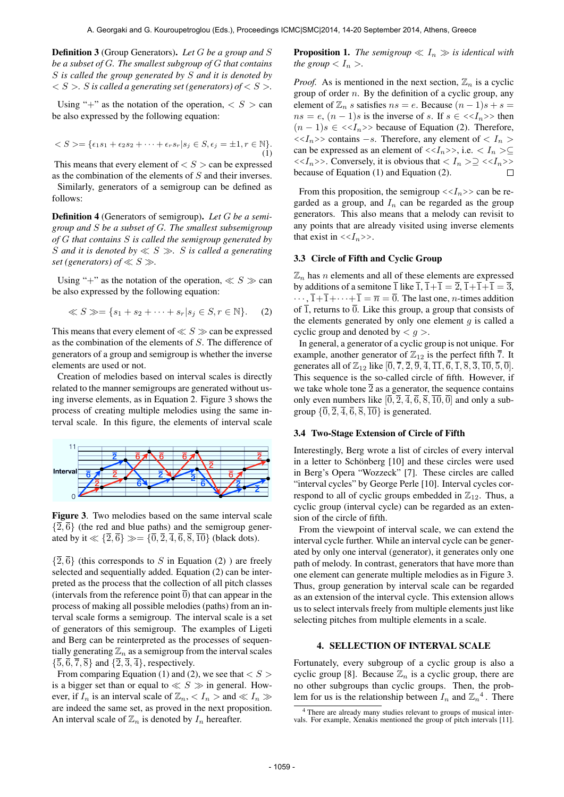Definition 3 (Group Generators). *Let G be a group and S be a subset of G. The smallest subgroup of G that contains S is called the group generated by S and it is denoted by*  $S > S$  *is called a generating set (generators) of*  $S > S$ .

Using "+" as the notation of the operation,  $\langle S \rangle$  can be also expressed by the following equation:

$$
\langle S \rangle = \{ \epsilon_1 s_1 + \epsilon_2 s_2 + \dots + \epsilon_r s_r | s_j \in S, \epsilon_j = \pm 1, r \in \mathbb{N} \}. \tag{1}
$$

This means that every element of  $\lt S$   $>$  can be expressed as the combination of the elements of *S* and their inverses.

Similarly, generators of a semigroup can be defined as follows:

Definition 4 (Generators of semigroup). *Let G be a semigroup and S be a subset of G. The smallest subsemigroup of G that contains S is called the semigroup generated by S and it is denoted by ≪ S ≫. S is called a generating set (generators) of*  $\ll S \gg$ .

Using "+" as the notation of the operation,  $\ll S \gg$  can be also expressed by the following equation:

$$
\ll S \gg = \{s_1 + s_2 + \dots + s_r | s_j \in S, r \in \mathbb{N}\}.
$$
 (2)

This means that every element of  $\ll S \gg$  can be expressed as the combination of the elements of *S*. The difference of generators of a group and semigroup is whether the inverse elements are used or not.

Creation of melodies based on interval scales is directly related to the manner semigroups are generated without using inverse elements, as in Equation 2. Figure 3 shows the process of creating multiple melodies using the same interval scale. In this figure, the elements of interval scale



Figure 3. Two melodies based on the same interval scale  $\{\overline{2}, \overline{6}\}$  (the red and blue paths) and the semigroup generated by it  $\ll \{\overline{2}, \overline{6}\} \gg = \{\overline{0}, \overline{2}, \overline{4}, \overline{6}, \overline{8}, \overline{10}\}$  (black dots).

 $\{\overline{2}, \overline{6}\}$  (this corresponds to *S* in Equation (2) ) are freely selected and sequentially added. Equation (2) can be interpreted as the process that the collection of all pitch classes (intervals from the reference point  $\overline{0}$ ) that can appear in the process of making all possible melodies (paths) from an interval scale forms a semigroup. The interval scale is a set of generators of this semigroup. The examples of Ligeti and Berg can be reinterpreted as the processes of sequentially generating  $\mathbb{Z}_n$  as a semigroup from the interval scales  $\{\overline{5}, \overline{6}, \overline{7}, \overline{8}\}$  and  $\{\overline{2}, \overline{3}, \overline{4}\}$ , respectively.

From comparing Equation (1) and (2), we see that *< S >* is a bigger set than or equal to *≪ S ≫* in general. However, if  $I_n$  is an interval scale of  $\mathbb{Z}_n$ ,  $\lt I_n$  > and  $\ll I_n$   $\gg$ are indeed the same set, as proved in the next proposition. An interval scale of  $\mathbb{Z}_n$  is denoted by  $I_n$  hereafter.

**Proposition 1.** *The semigroup*  $\ll I_n \gg$  *is identical with the group*  $\langle I_n \rangle$ *.* 

*Proof.* As is mentioned in the next section,  $\mathbb{Z}_n$  is a cyclic group of order *n*. By the definition of a cyclic group, any element of  $\mathbb{Z}_n$  *s* satisfies  $ns = e$ . Because  $(n-1)s + s =$  $ns = e$ ,  $(n - 1)s$  is the inverse of *s*. If  $s \in \langle \langle I_n \rangle \rangle$  then  $(n-1)s \in \langle \langle I_n \rangle \rangle$  because of Equation (2). Therefore,  $<< I_n$ >> contains *−s*. Therefore, any element of  $< I_n$  > can be expressed as an element of  $\langle \langle I_n \rangle \rangle$ , i.e.  $\langle I_n \rangle \subseteq$  $\langle \langle I_n \rangle \rangle$ . Conversely, it is obvious that  $\langle I_n \rangle \geq \langle \langle I_n \rangle \rangle$ because of Equation (1) and Equation (2).  $\Box$ 

From this proposition, the semigroup  $\langle \langle I_n \rangle \rangle$  can be regarded as a group, and  $I_n$  can be regarded as the group generators. This also means that a melody can revisit to any points that are already visited using inverse elements that exist in  $\langle \langle I_n \rangle \rangle$ .

## 3.3 Circle of Fifth and Cyclic Group

 $\mathbb{Z}_n$  has *n* elements and all of these elements are expressed by additions of a semitone  $\overline{1}$  like  $\overline{1}$ ,  $\overline{1}+\overline{1}=\overline{2}$ ,  $\overline{1}+\overline{1}+\overline{1}=\overline{3}$ ,  $\cdots$ ,  $\overline{1} + \overline{1} + \cdots + \overline{1} = \overline{n} = \overline{0}$ . The last one, *n*-times addition of  $\overline{1}$ , returns to  $\overline{0}$ . Like this group, a group that consists of the elements generated by only one element  $q$  is called a cyclic group and denoted by *< g >*.

In general, a generator of a cyclic group is not unique. For example, another generator of  $\mathbb{Z}_{12}$  is the perfect fifth  $\overline{7}$ . It generates all of  $\mathbb{Z}_{12}$  like  $[0, \overline{7}, \overline{2}, \overline{9}, \overline{4}, \overline{11}, \overline{6}, \overline{1}, \overline{8}, \overline{3}, \overline{10}, \overline{5}, \overline{0}].$ This sequence is the so-called circle of fifth. However, if we take whole tone  $\overline{2}$  as a generator, the sequence contains only even numbers like  $[0, \overline{2}, \overline{4}, \overline{6}, \overline{8}, \overline{10}, \overline{0}]$  and only a subgroup  $\{\overline{0}, \overline{2}, \overline{4}, \overline{6}, \overline{8}, \overline{10}\}$  is generated.

# 3.4 Two-Stage Extension of Circle of Fifth

Interestingly, Berg wrote a list of circles of every interval in a letter to Schönberg [10] and these circles were used in Berg's Opera "Wozzeck" [7]. These circles are called "interval cycles" by George Perle [10]. Interval cycles correspond to all of cyclic groups embedded in  $\mathbb{Z}_{12}$ . Thus, a cyclic group (interval cycle) can be regarded as an extension of the circle of fifth.

From the viewpoint of interval scale, we can extend the interval cycle further. While an interval cycle can be generated by only one interval (generator), it generates only one path of melody. In contrast, generators that have more than one element can generate multiple melodies as in Figure 3. Thus, group generation by interval scale can be regarded as an extension of the interval cycle. This extension allows us to select intervals freely from multiple elements just like selecting pitches from multiple elements in a scale.

# 4. SELLECTION OF INTERVAL SCALE

Fortunately, every subgroup of a cyclic group is also a cyclic group [8]. Because  $\mathbb{Z}_n$  is a cyclic group, there are no other subgroups than cyclic groups. Then, the problem for us is the relationship between  $I_n$  and  $\mathbb{Z}_n^4$ . There

<sup>4</sup> There are already many studies relevant to groups of musical intervals. For example, Xenakis mentioned the group of pitch intervals [11].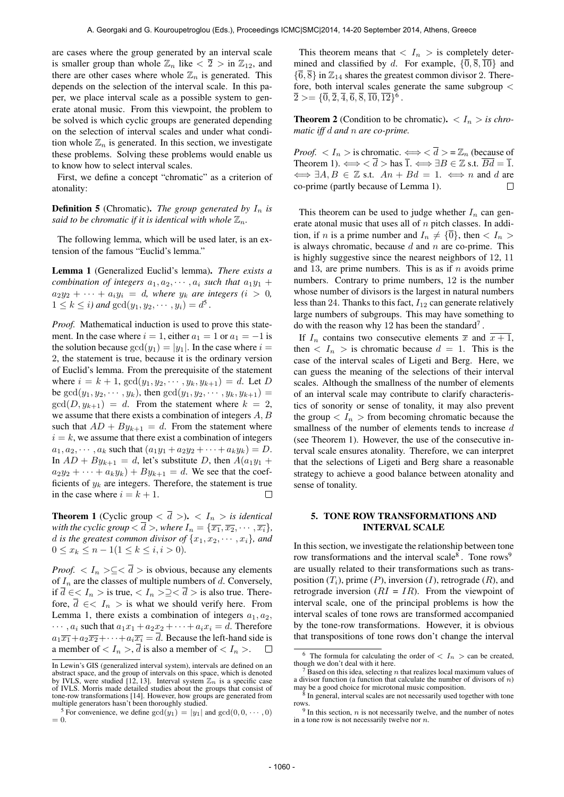are cases where the group generated by an interval scale is smaller group than whole  $\mathbb{Z}_n$  like  $\langle \overline{2} \rangle$  in  $\mathbb{Z}_{12}$ , and there are other cases where whole  $\mathbb{Z}_n$  is generated. This depends on the selection of the interval scale. In this paper, we place interval scale as a possible system to generate atonal music. From this viewpoint, the problem to be solved is which cyclic groups are generated depending on the selection of interval scales and under what condition whole  $\mathbb{Z}_n$  is generated. In this section, we investigate these problems. Solving these problems would enable us to know how to select interval scales.

First, we define a concept "chromatic" as a criterion of atonality:

**Definition 5** (Chromatic). *The group generated by*  $I_n$  *is said to be chromatic if it is identical with whole*  $\mathbb{Z}_n$ *.* 

The following lemma, which will be used later, is an extension of the famous "Euclid's lemma."

Lemma 1 (Generalized Euclid's lemma). *There exists a combination of integers*  $a_1, a_2, \cdots, a_i$  *such that*  $a_1y_1 +$  $a_2y_2 + \cdots + a_iy_i = d$ , where  $y_k$  are integers (*i* > 0*,*  $1 \leq k \leq i$ ) and  $gcd(y_1, y_2, \dots, y_i) = d^5$ .

*Proof.* Mathematical induction is used to prove this statement. In the case where  $i = 1$ , either  $a_1 = 1$  or  $a_1 = -1$  is the solution because  $gcd(y_1) = |y_1|$ . In the case where  $i =$ 2, the statement is true, because it is the ordinary version of Euclid's lemma. From the prerequisite of the statement where  $i = k + 1$ ,  $gcd(y_1, y_2, \dots, y_k, y_{k+1}) = d$ . Let *D* be  $gcd(y_1, y_2, \dots, y_k)$ , then  $gcd(y_1, y_2, \dots, y_k, y_{k+1})$  =  $gcd(D, y_{k+1}) = d$ . From the statement where  $k = 2$ , we assume that there exists a combination of integers *A, B* such that  $AD + By_{k+1} = d$ . From the statement where  $i = k$ , we assume that there exist a combination of integers  $a_1, a_2, \cdots, a_k$  such that  $(a_1y_1 + a_2y_2 + \cdots + a_ky_k) = D$ . In  $AD + By_{k+1} = d$ , let's substitute *D*, then  $A(a_1y_1 + b_2y_2)$  $a_2y_2 + \cdots + a_ky_k$  + *By*<sub>*k*+1</sub> = *d*. We see that the coefficients of  $y_k$  are integers. Therefore, the statement is true in the case where  $i = k + 1$ .  $\Box$ 

**Theorem 1** (Cyclic group  $\langle \overline{d} \rangle$ ).  $\langle I_n \rangle$  *is identical with the cyclic group*  $<\overline{d}$  >, where  $I_n = \{\overline{x_1}, \overline{x_2}, \cdots, \overline{x_i}\}$ , *d is the greatest common divisor of*  $\{x_1, x_2, \dots, x_i\}$ *, and* 0 ≤  $x_k$  ≤  $n - 1$ (1 ≤  $k$  ≤ *i, i* > 0).

*Proof.*  $\langle I_n \rangle \subseteq \langle \overline{d} \rangle$  is obvious, because any elements of *I<sup>n</sup>* are the classes of multiple numbers of *d*. Conversely, if  $\overline{d}$  ∈  $\lt I_n$  > is true,  $\lt I_n$  >  $\geq \lt \overline{d}$  > is also true. Therefore,  $\overline{d} \in \langle I_n \rangle$  is what we should verify here. From Lemma 1, there exists a combination of integers  $a_1, a_2$ ,  $\cdots$ ,  $a_i$  such that  $a_1x_1 + a_2x_2 + \cdots + a_ix_i = d$ . Therefore  $a_1\overline{x_1} + a_2\overline{x_2} + \cdots + a_i\overline{x_i} = \overline{d}$ . Because the left-hand side is a member of  $\langle I_n \rangle$ ,  $\overline{d}$  is also a member of  $\langle I_n \rangle$ .  $\Box$ 

This theorem means that  $\langle I_n \rangle$  is completely determined and classified by *d*. For example,  $\{\overline{0}, \overline{8}, \overline{10}\}$  and  $\{\overline{6}, \overline{8}\}$  in  $\mathbb{Z}_{14}$  shares the greatest common divisor 2. Therefore, both interval scales generate the same subgroup *<*  $\overline{2} > = {\overline{0}, \overline{2}, \overline{4}, \overline{6}, \overline{8}, \overline{10}, \overline{12}}^6.$ 

**Theorem 2** (Condition to be chromatic).  $\langle I_n \rangle$  *is chromatic iff d and n are co-prime.*

*Proof.*  $\langle I_n \rangle$  is chromatic.  $\Longleftrightarrow \langle \overline{d} \rangle = \mathbb{Z}_n$  (because of Theorem 1).  $\Longleftrightarrow \overline{d} > \text{has } \overline{1}$ .  $\Longleftrightarrow \exists B \in \mathbb{Z} \text{ s.t. } \overline{Bd} = \overline{1}$ .  $\iff \exists A, B \in \mathbb{Z}$  s.t.  $An + Bd = 1$ .  $\iff n$  and *d* are co-prime (partly because of Lemma 1).  $\Box$ 

This theorem can be used to judge whether  $I_n$  can generate atonal music that uses all of *n* pitch classes. In addition, if *n* is a prime number and  $I_n \neq {\overline{0}}$ , then  $I_n >$ is always chromatic, because *d* and *n* are co-prime. This is highly suggestive since the nearest neighbors of 12, 11 and 13, are prime numbers. This is as if *n* avoids prime numbers. Contrary to prime numbers, 12 is the number whose number of divisors is the largest in natural numbers less than 24. Thanks to this fact, *I*<sup>12</sup> can generate relatively large numbers of subgroups. This may have something to do with the reason why 12 has been the standard<sup>7</sup>.

If  $I_n$  contains two consecutive elements  $\overline{x}$  and  $\overline{x+1}$ , then  $\langle I_n \rangle$  is chromatic because  $d = 1$ . This is the case of the interval scales of Ligeti and Berg. Here, we can guess the meaning of the selections of their interval scales. Although the smallness of the number of elements of an interval scale may contribute to clarify characteristics of sonority or sense of tonality, it may also prevent the group  $I_n$  > from becoming chromatic because the smallness of the number of elements tends to increase *d* (see Theorem 1). However, the use of the consecutive interval scale ensures atonality. Therefore, we can interpret that the selections of Ligeti and Berg share a reasonable strategy to achieve a good balance between atonality and sense of tonality.

# 5. TONE ROW TRANSFORMATIONS AND INTERVAL SCALE

In this section, we investigate the relationship between tone row transformations and the interval scale $8$ . Tone rows<sup>9</sup> are usually related to their transformations such as transposition  $(T_i)$ , prime  $(P)$ , inversion  $(I)$ , retrograde  $(R)$ , and retrograde inversion  $(RI = IR)$ . From the viewpoint of interval scale, one of the principal problems is how the interval scales of tone rows are transformed accompanied by the tone-row transformations. However, it is obvious that transpositions of tone rows don't change the interval

In Lewin's GIS (generalized interval system), intervals are defined on an abstract space, and the group of intervals on this space, which is denoted<br>by IVLS, were studied [12, 13]. Interval system  $\mathbb{Z}_n$  is a specific case<br>of IVLS. Morris made detailed studies about the groups that consist o tone-row transformations [14]. However, how groups are generated from multiple generators hasn't been thoroughly studied.

<sup>&</sup>lt;sup>5</sup> For convenience, we define  $gcd(y_1) = |y_1|$  and  $gcd(0, 0, \dots, 0)$  $= 0.$ 

The formula for calculating the order of  $\langle I_n \rangle$  can be created, though we don't deal with it here.

<sup>7</sup> Based on this idea, selecting *n* that realizes local maximum values of a divisor function (a function that calculate the number of divisors of *n*)

may be a good choice for microtonal music composition. 8 In general, interval scales are not necessarily used together with tone rows. 9 In this section, *n* is not necessarily twelve, and the number of notes

in a tone row is not necessarily twelve nor *n*.